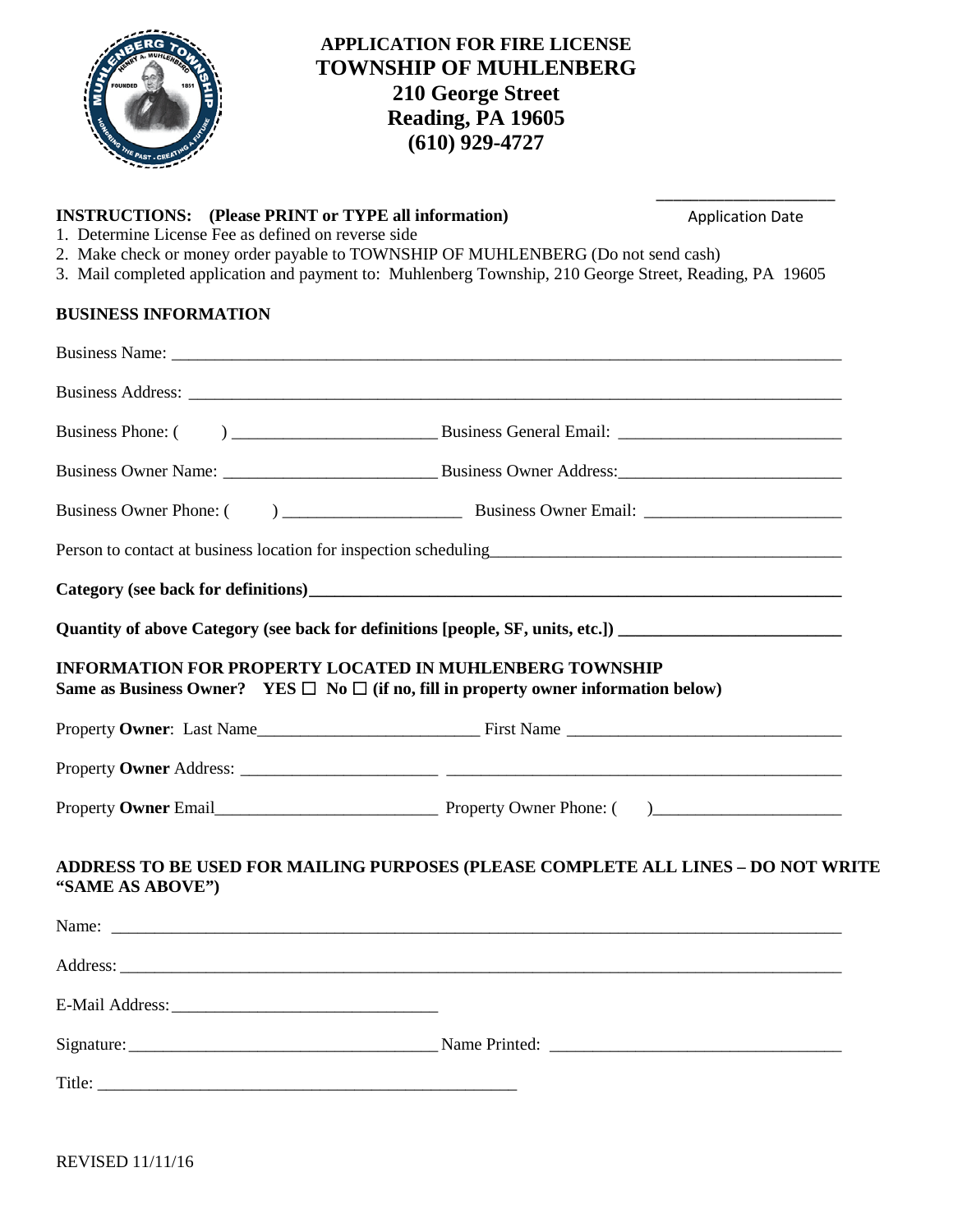

## **APPLICATION FOR FIRE LICENSE TOWNSHIP OF MUHLENBERG 210 George Street Reading, PA 19605 (610) 929-4727**

## **INSTRUCTIONS: (Please PRINT or TYPE all information)**

\_\_\_\_\_\_\_\_\_\_\_\_\_\_\_\_\_\_\_\_\_ Application Date

- 1. Determine License Fee as defined on reverse side 2. Make check or money order payable to TOWNSHIP OF MUHLENBERG (Do not send cash)
- 3. Mail completed application and payment to: Muhlenberg Township, 210 George Street, Reading, PA 19605

## **BUSINESS INFORMATION**

|                  | Person to contact at business location for inspection scheduling                                                                                                 |
|------------------|------------------------------------------------------------------------------------------------------------------------------------------------------------------|
|                  |                                                                                                                                                                  |
|                  | Quantity of above Category (see back for definitions [people, SF, units, etc.]) ______________________________                                                   |
|                  | <b>INFORMATION FOR PROPERTY LOCATED IN MUHLENBERG TOWNSHIP</b><br>Same as Business Owner? YES $\Box$ No $\Box$ (if no, fill in property owner information below) |
|                  |                                                                                                                                                                  |
|                  |                                                                                                                                                                  |
|                  | Property Owner Email Property Owner Phone: ()                                                                                                                    |
| "SAME AS ABOVE") | ADDRESS TO BE USED FOR MAILING PURPOSES (PLEASE COMPLETE ALL LINES – DO NOT WRITE                                                                                |
|                  |                                                                                                                                                                  |
|                  |                                                                                                                                                                  |
| E-Mail Address:  |                                                                                                                                                                  |

Signature: \_\_\_\_\_\_\_\_\_\_\_\_\_\_\_\_\_\_\_\_\_\_\_\_\_\_\_\_\_\_\_\_\_\_\_\_ Name Printed: \_\_\_\_\_\_\_\_\_\_\_\_\_\_\_\_\_\_\_\_\_\_\_\_\_\_\_\_\_\_\_\_\_\_

Title:

REVISED 11/11/16